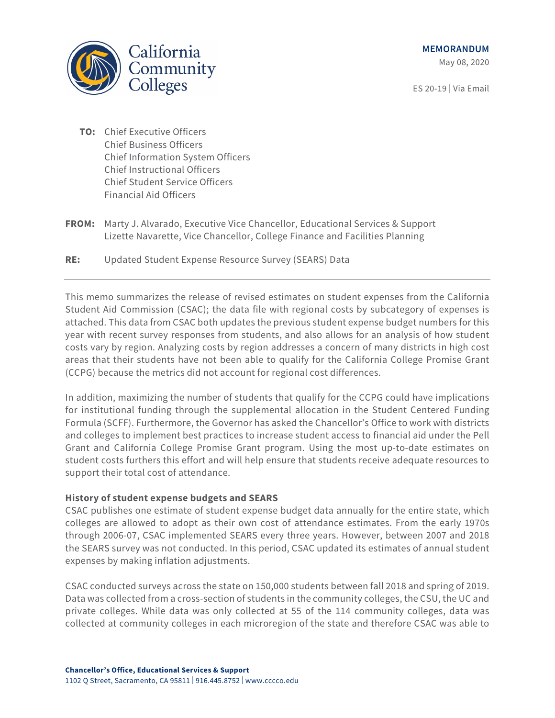**MEMORANDUM**

May 08, 2020

ES 20-19 | Via Email



- **TO:** Chief Executive Officers Chief Business Officers Chief Information System Officers Chief Instructional Officers Chief Student Service Officers Financial Aid Officers
- **FROM:** Marty J. Alvarado, Executive Vice Chancellor, Educational Services & Support Lizette Navarette, Vice Chancellor, College Finance and Facilities Planning
- **RE:** Updated Student Expense Resource Survey (SEARS) Data

This memo summarizes the release of revised estimates on student expenses from the California Student Aid Commission (CSAC); the data file with regional costs by subcategory of expenses is attached. This data from CSAC both updates the previous student expense budget numbers for this year with recent survey responses from students, and also allows for an analysis of how student costs vary by region. Analyzing costs by region addresses a concern of many districts in high cost areas that their students have not been able to qualify for the California College Promise Grant (CCPG) because the metrics did not account for regional cost differences.

In addition, maximizing the number of students that qualify for the CCPG could have implications for institutional funding through the supplemental allocation in the Student Centered Funding Formula (SCFF). Furthermore, the Governor has asked the Chancellor's Office to work with districts and colleges to implement best practices to increase student access to financial aid under the Pell Grant and California College Promise Grant program. Using the most up-to-date estimates on student costs furthers this effort and will help ensure that students receive adequate resources to support their total cost of attendance.

# **History of student expense budgets and SEARS**

CSAC publishes one estimate of student expense budget data annually for the entire state, which colleges are allowed to adopt as their own cost of attendance estimates. From the early 1970s through 2006-07, CSAC implemented SEARS every three years. However, between 2007 and 2018 the SEARS survey was not conducted. In this period, CSAC updated its estimates of annual student expenses by making inflation adjustments.

CSAC conducted surveys across the state on 150,000 students between fall 2018 and spring of 2019. Data was collected from a cross-section of students in the community colleges, the CSU, the UC and private colleges. While data was only collected at 55 of the 114 community colleges, data was collected at community colleges in each microregion of the state and therefore CSAC was able to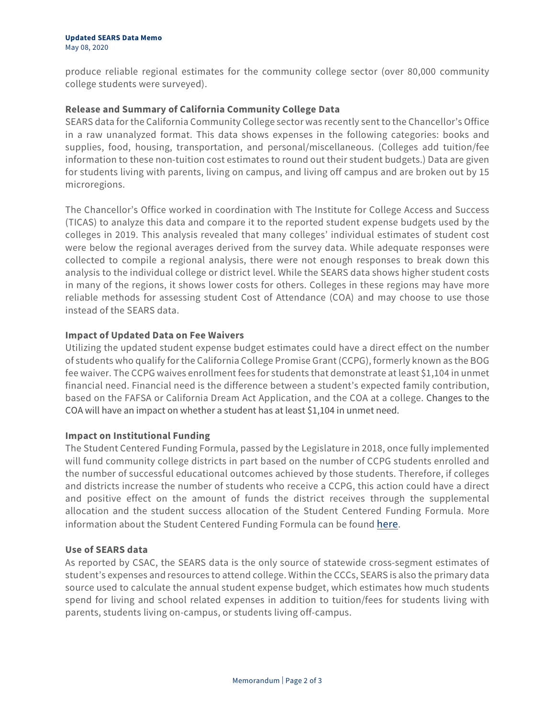produce reliable regional estimates for the community college sector (over 80,000 community college students were surveyed).

## **Release and Summary of California Community College Data**

SEARS data for the California Community College sector was recently sent to the Chancellor's Office in a raw unanalyzed format. This data shows expenses in the following categories: books and supplies, food, housing, transportation, and personal/miscellaneous. (Colleges add tuition/fee information to these non-tuition cost estimates to round out their student budgets.) Data are given for students living with parents, living on campus, and living off campus and are broken out by 15 microregions.

The Chancellor's Office worked in coordination with The Institute for College Access and Success (TICAS) to analyze this data and compare it to the reported student expense budgets used by the colleges in 2019. This analysis revealed that many colleges' individual estimates of student cost were below the regional averages derived from the survey data. While adequate responses were collected to compile a regional analysis, there were not enough responses to break down this analysis to the individual college or district level. While the SEARS data shows higher student costs in many of the regions, it shows lower costs for others. Colleges in these regions may have more reliable methods for assessing student Cost of Attendance (COA) and may choose to use those instead of the SEARS data.

### **Impact of Updated Data on Fee Waivers**

Utilizing the updated student expense budget estimates could have a direct effect on the number of students who qualify for the California College Promise Grant (CCPG), formerly known as the BOG fee waiver. The CCPG waives enrollment fees for students that demonstrate at least \$1,104 in unmet financial need. Financial need is the difference between a student's expected family contribution, based on the FAFSA or California Dream Act Application, and the COA at a college. Changes to the COA will have an impact on whether a student has at least \$1,104 in unmet need.

### **Impact on Institutional Funding**

The Student Centered Funding Formula, passed by the Legislature in 2018, once fully implemented will fund community college districts in part based on the number of CCPG students enrolled and the number of successful educational outcomes achieved by those students. Therefore, if colleges and districts increase the number of students who receive a CCPG, this action could have a direct and positive effect on the amount of funds the district receives through the supplemental allocation and the student success allocation of the Student Centered Funding Formula. More information about the Student Centered Funding Formula can be found [here.](https://www.cccco.edu/About-Us/Chancellors-Office/Divisions/College-Finance-and-Facilities-Planning/Student-Centered-Funding-Formula)

### **Use of SEARS data**

As reported by CSAC, the SEARS data is the only source of statewide cross-segment estimates of student's expenses and resources to attend college. Within the CCCs, SEARS is also the primary data source used to calculate the annual student expense budget, which estimates how much students spend for living and school related expenses in addition to tuition/fees for students living with parents, students living on-campus, or students living off-campus.